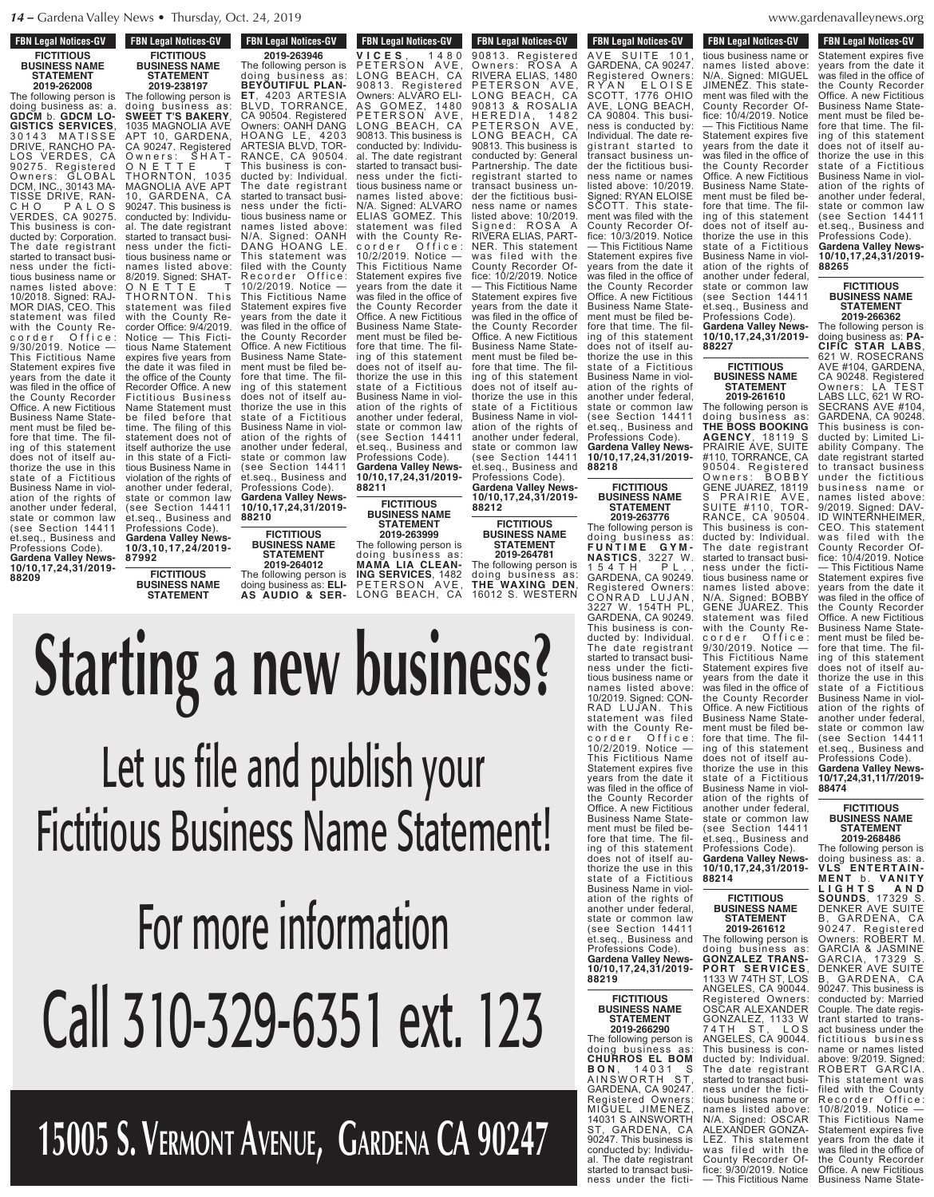**FBN Legal Notices-GV FICTITIOUS BUSINESS NAME STATEMENT**

**2019-262008** The following person is doing business as: a. **GDCM** b. **GDCM LO-GISTICS SERVICES**, 30143 MATISSE DRIVE, RANCHO PA-LOS VERDES, CA 90275. Registered Owners: GLOBAL DCM, INC., 30143 MA-TISSE DRIVE, RAN-C H O P A L O S VERDES, CA 90275. This business is conducted by: Corporation. The date registrant started to transact business under the fictitious business name or names listed above: 10/2018. Signed: RAJ-MOR DIAS, CEO. This statement was filed with the County Recorder Office: 9/30/2019. Notice — This Fictitious Name Statement expires five years from the date it was filed in the office of the County Recorder Office. A new Fictitious Business Name Statement must be filed before that time. The filing of this statement does not of itself authorize the use in this state of a Fictitious Business Name in violation of the rights of another under federal, state or common law (see Section 14411 et.seq., Business and Professions Code). **Gardena Valley News-10/10,17,24,31/2019-**

**88209**

**87992**

**FBN Legal Notices-GV BUSINESS NAME Legal Motices-2019-263946** The following person is doing business as: **BEYOUTIFUL PLAN-ET**, 4203 ARTESIA BLVD, TORRANCE, CA 90504. Registered Owners: OANH DANG HOANG LE, 4203 ARTESIA BLVD, TOR-RANCE, CA 90504. This business is conducted by: Individual. The date registrant started to transact business under the fictitious business name or names listed above: N/A. Signed: OANH DANG HOANG LE. This statement was filed with the County Recorder Office: 10/2/2019. Notice — This Fictitious Name Statement expires five years from the date it was filed in the office of the County Recorder Office. A new Fictitious Business Name Statement must be filed before that time. The filing of this statement does not of itself authorize the use in this state of a Fictitious Business Name in violation of the rights of another under federal, state or common law (see Section 14411 et.seq., Business and **88210 FBN Legal Notices-GV FICTITIOUS BUSINESS NAME STATEMENT 2019-238197** The following person is doing business as: **SWEET T'S BAKERY**, 1035 MAGNOLIA AVE APT 10, GARDENA, CA 90247. Registered Owners: SHAT-ON E T T E T THORNTON, 1035 MAGNOLIA AVE APT 10, GARDENA, CA 90247. This business is conducted by: Individual. The date registrant started to transact business under the fictitious business name or names listed above: 8/2019. Signed: SHAT-ON E T T E T THORNTON. This statement was filed with the County Recorder Office: 9/4/2019. Notice — This Fictitious Name Statement expires five years from the date it was filed in the office of the County Recorder Office. A new Fictitious Business Name Statement must be filed before that time. The filing of this statement does not of itself authorize the use in this state of a Fictitious Business Name in violation of the rights of another under federal, state or common law (see Section 14411 et.seq., Business and Professions Code). **Gardena Valley News-10/3,10,17,24/2019-**

**FICTITIOUS BUSINESS NAME STATEMENT**

**V I C E S** , 1 4 8 0 PETERSON LONG BEACH, CA 90813. Registered Owners: ALVARO ELI-AS GOMEZ, 1480 PETERSON AVE, LONG BEACH, CA 90813. This business is conducted by: Individual. The date registrant started to transact business under the fictitious business name or names listed above: N/A. Signed: ALVARO ELIAS GOMEZ. This statement was filed with the County Recorder Office: 10/2/2019. Notice — This Fictitious Name Statement expires five years from the date it was filed in the office of the County Recorder Office. A new Fictitious Business Name Statement must be filed before that time. The filing of this statement does not of itself authorize the use in this state of a Fictitious Business Name in violation of the rights of another under federal, state or common law (see Section 14411 et.seq., Business and Professions Code). **Gardena Valley News-10/10,17,24,31/2019-**

 $FBN$  Legal Notices-GV

**88211** Professions Code). **Gardena Valley News-10/10,17,24,31/2019-**

**FICTITIOUS BUSINESS NAME**

**STATEMENT 2019-264012** The following person is doing business as: **ELI-AS AUDIO & SER- <sup>V</sup> <sup>I</sup> <sup>C</sup> <sup>E</sup> <sup>S</sup>** , <sup>1</sup> <sup>4</sup> <sup>8</sup> <sup>0</sup>

**FICTITIOUS BUSINESS NAME STATEMENT 2019-263999** The following person is doing business as: **MAMA LIA CLEAN-ING SERVICES**, 1482 PETERSON AVE, LONG BEACH, CA

**1601 FDN Leyal NULLES-UV** AVE SUITE 101 RYAN ELOISE SCOTT, 1776 OHIO CA 90804. This busi-Individual. The date registrant started to transact business under the fictitious business name or names Signed: RYAN ELOISE SCOTT. This statement was filed with the **10/10,17,24,31/2019- 88218 FBN Legal Notices-GV LOW LEGAL MULLES-CIV** 90813. Registered Owners: ROSA A RIVERA ELIAS, 1480 PETERSON AVE, LONG BEACH, CA 90813 & ROSALIA H E R E D I A , 1 4 8 2 PETERSON AVE, LONG BEACH, CA 90813. This business is conducted by: General Partnership. The date registrant started to transact business under the fictitious business name or names listed above: 10/2019. Signed: ROSA A RIVERA ELIAS, PART-NER. This statement was filed with the County Recorder Office: 10/2/2019. Notice — This Fictitious Name Statement expires five years from the date it was filed in the office of the County Recorder Office. A new Fictitious Business Name Statement must be filed before that time. The filing of this statement does not of itself authorize the use in this state of a Fictitious Business Name in violation of the rights of another under federal, state or common law (see Section 14411 et.seq., Business and Professions Code).

**Gardena Valley News-10/10,17,24,31/2019- 88212**

**FICTITIOUS BUSINESS NAME STATEMENT 2019-264781** The following person is doing business as: **THE WAXING DEN**, 16012 S. WESTERN

GARDENA, CA 90247.

County Recorder Office: 10/3/2019. Notice — This Fictitious Name Statement expires five years from the date it was filed in the office of the County Recorder Office. A new Fictitious Business Name Statement must be filed before that time. The filing of this statement does not of itself authorize the use in this state of a Fictitious Business Name in violation of the rights of another under federal, state or common law (see Section 14411 et.seq., Business and Professions Code). **Gardena Valley News-**

> **FICTITIOUS BUSINESS NAME STATEMENT**

**2019-263776** The following person is doing business as: **F U N T I M E G Y M - NASTICS**, 3227 W. 1 5 4 T H P L . , GARDENA, CA 90249. Registered Owners: CONRAD LUJAN, 3227 W. 154TH PL, GARDENA, CA 90249. This business is conducted by: Individual. The date registrant started to transact business under the fictitious business name or names listed above: 10/2019. Signed: CON-RAD LUJAN. This statement was filed with the County Recorder Office: 10/2/2019. Notice — This Fictitious Name Statement expires five years from the date it was filed in the office of the County Recorder Office. A new Fictitious Business Name Statement must be filed before that time. The filing of this statement does not of itself authorize the use in this state of a Fictitious Business Name in violation of the rights of another under federal, state or common law (see Section 14411 et.seq., Business and Professions Code). **Gardena Valley News-10/10,17,24,31/2019-**

denavalleynews.org  $\mathcal{C}$ conducted by: Individual B al. The date registration

**FBN Legal Notices-GV** rbiv Leyal Nutiles-dv tious business name or names listed above: N/A. Signed: MIGUEL JIMENEZ. This statement was filed with the County Recorder Office: 10/4/2019. Notice — This Fictitious Name Statement expires five years from the date it was filed in the office of the County Recorder Office. A new Fictitious Business Name Statement must be filed before that time. The filing of this statement does not of itself authorize the use in this state of a Fictitious Business Name in violation of the rights of another under federal, state or common law (see Section 14411 et.seq., Business and Professions Code). **Gardena Valley News-10/10,17,24,31/2019- 88227**  $FBN$  Legal Notices-GV GARDENA, CA 90247. Registered Owners: AVE, LONG BEACH, ness is conducted by: listed above: 10/2019.

> **FICTITIOUS BUSINESS NAME STATEMENT 2019-261610**

The following person is doing business as: **THE BOSS BOOKING AGENCY**, 18119 S PRAIRIE AVE, SUITE #110, TORRANCE, CA 90504. Registered Owners: BOBBY GENE JUAREZ, 18119 S PRAIRIE AVE, SUITE #110, TOR-RANCE, CA 90504. This business is conducted by: Individual. The date registrant started to transact business under the fictitious business name or names listed above: N/A. Signed: BOBBY GENE JUAREZ. This statement was filed with the County Recorder Office: 9/30/2019. Notice — This Fictitious Name Statement expires five years from the date it was filed in the office of the County Recorder Office. A new Fictitious Business Name Statement must be filed before that time. The filing of this statement does not of itself authorize the use in this state of a Fictitious Business Name in violation of the rights of another under federal, state or common law (see Section 14411 et.seq., Business and Professions Code). **Gardena Valley News-10/10,17,24,31/2019-**

### **88214 FICTITIOUS BUSINESS NAME STATEMENT**

years from the date it was filed in the office of the County Recorder Office. A new Fictitious Business Name State-**2019-261612** The following person is doing business as: **GONZALEZ TRANS-PORT SERVICES**, 1133 W 74TH ST, LOS ANGELES, CA 90044. Registered Owners: OSCAR ALEXANDER GONZALEZ, 1133 W 74TH ST, LOS ANGELES, CA 90044. This business is conducted by: Individual. The date registrant started to transact business under the fictitious business name or names listed above: N/A. Signed: OSCAR ALEXANDER GONZA-LEZ. This statement was filed with the County Recorder Office: 9/30/2019. Notice — This Fictitious Name

**FBN Legal Notices-GV FIGURE FIGURE TO FIGURE THE FIGURE TO PROPER** Statement expires five years from the date it was filed in the office of the County Recorder Office. A new Fictitious Business Name Statement must be filed before that time. The filing of this statement does not of itself authorize the use in this state of a Fictitious Business Name in violation of the rights of another under federal, state or common law (see Section 14411 et.seq., Business and Professions Code).

**Gardena Valley News-10/10,17,24,31/2019- 88265**

### **FICTITIOUS BUSINESS NAME STATEMENT 2019-266362**

The following person is doing business as: **PA-CIFIC STAR LABS**, 621 W. ROSECRANS AVE #104, GARDENA, CA 90248. Registered Owners: LA TEST LABS LLC, 621 W RO-SECRANS AVE #104, GARDENA, CA 90248. This business is conducted by: Limited Liability Company. The date registrant started to transact business under the fictitious business name or names listed above: 9/2019. Signed: DAV-ID WINTERNHEIMER, CEO. This statement was filed with the County Recorder Office: 10/4/2019. Notice — This Fictitious Name Statement expires five years from the date it was filed in the office of the County Recorder Office. A new Fictitious Business Name Statement must be filed before that time. The filing of this statement does not of itself authorize the use in this state of a Fictitious Business Name in violation of the rights of another under federal, state or common law (see Section 14411 et.seq., Business and Professions Code). **Gardena Valley News-10/17,24,31,11/7/2019- 88474**

### **FICTITIOUS BUSINESS NAME STATEMENT 2019-268486**

The following person is doing business as: a. **VLS ENTERTAIN-M E N T** b . **V A N ITY L I G H T S A N D SOUNDS**, 17329 S. DENKER AVE SUITE B, GARDENA, CA 90247. Registered Owners: ROBERT M. GARCIA & JASMINE GARCIA, 17329 S. DENKER AVE SUITE B, GARDENA, CA 90247. This business is conducted by: Married Couple. The date registrant started to transact business under the fictitious business name or names listed above: 9/2019. Signed: ROBERT GARCIA. This statement was filed with the County Recorder Office: 10/8/2019. Notice — This Fictitious Name Statement expires five

# SCOTT. This state-three state-three state-three state-three state-three state-three statement was filed with the County Recorder Office: 10/3/2019. Notice Statement expires five years from the date it manti i the County Recorder Office. A new Fictitious

### **FICTITIOUS BUSINESS NAME STATEMENT**

**88219**

**2019-266290** The following person is doing business as: **CHURROS EL BOM B O N** , 1 4 0 3 1 S AINSWORTH ST, GARDENA, CA 90247. Registered Owners: MIGUEL JIMENEZ, 14031 S AINSWORTH ST, GARDENA, CA 90247. This business is conducted by: Individual. The date registrant started to transact business under the ficti-

#### **Starting a new business?** Let us file and publish your Fictitious Business Name Statement! For more information R Y A N E L O I S E SCOTT, 1776 OHIO  $\boldsymbol{\Lambda}\boldsymbol{\Lambda}\boldsymbol{\Lambda}$ ACC 1 ness is conducted by: Individual. The date re- $\sim$   $\sim$   $\sim$ RIVERA ELIAS, 1480 P E T E R S O N A V E , LONG BEACH, CA **10814** H E R E D I A , 1 4 8 2 P E S E S E H LONG BEA 13. This business is a set of the contract of the contract of the contract of the contract of the contract of the contract of the contract of the contract of the contract of the contract of the contract of the contract of der the fictitious business name or names listed above: 10/2019. ZHSH VUR RIVERA ELIAS, PART-NER. This statement was first the control of  $\mathcal{L}$   $\mathcal{L}$   $\mathcal{L}$   $\mathcal{L}$   $\mathcal{L}$ AA LIMM — This Fictitious Name Statement expires five years from the date it Business Name Statement must be filed before that time. The filn ann an n does not o thorize the use in this **BAARL** P E T E T E R A V LONG BEACH, CA 90813. This business is  $\sim$   $\sim$   $\sim$   $\sim$ names listed above: N/A. Signed: ALVARO ELIAS GOMEZ. This anu vu with **b** a c o r d e r O f f i c e : 10/2/2019. Notice — This Fictitious Name SACC INTSI IHAN INAI ivjj in the office of  $\overline{\phantom{a}}$ fore that time. The filing this statement of this statement of the statement of  $\mathbf{r}$  $\boldsymbol{u}$  as  $\boldsymbol{u}$  and  $\boldsymbol{u}$ ta initat s to a final field of a Figure of a Field state  $\sigma$ Business Name in violdoing business as: **BEYOUTIFUL PLAN-ET**, 4203 ARTESIA FILA*n* A CA 90504. Registered IIIV *O* LE LE, L  $\mathbf{z}$ RANCE, CA 90504.  $\mathbf{U}$  business is con- $\mathbf{r}$  to the transaction of  $\mathbf{r}$ مايط مربر طر at iiic tii*l* names listed above: N/A. Signed: OANH This statement was filed with the County  $R$  in  $R$  in  $R$  f  $R$  in  $R$  f  $R$ 118 ANSI This Fig. Business Name State- $\overline{\phantom{a}}$  and  $\overline{\phantom{a}}$ fore that time. The filing of this statement does not of itself au-

#### Call 310-329-6351 ext. 123 Professions Code). **Gardena Valley News-10/10,17,24,31/2019- 88218** state or common law  $\overline{\phantom{a}}$ see Section 1441  $\blacksquare$ et. Business and  $\blacksquare$ Professions Code). **Gardena Valley News-10/10,17,24,31/2019** et.seq., Business and Professions Code). **Gardena Valley News-10/10,17,24,31/2019- 88211** another under federal,  $\mathbf{I}$  in  $\mathbf{I}$  $\sim$  111. $\sim$  $\blacksquare$ Professions Code). **Gardena Valley News-**

**15005 S. Vermont Avenue, Gardena CA 90247**